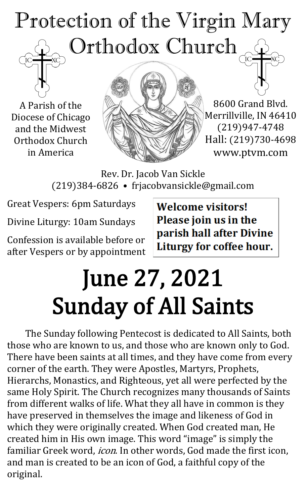### Protection of the Virgin Mary Orthodox Church

A Parish of the Diocese of Chicago and the Midwest Orthodox Church in America



8600 Grand Blvd. Merrillville, IN 46410 (219)947-4748 Hall: (219)730-4698 www.ptvm.com

Rev. Dr. Jacob Van Sickle (219)384-6826 • frjacobvansickle@gmail.com

Great Vespers: 6pm Saturdays

Divine Liturgy: 10am Sundays

Confession is available before or after Vespers or by appointment **Welcome visitors!** Please join us in the parish hall after Divine Liturgy for coffee hour.

# June 27, 2021 Sunday of All Saints

The Sunday following Pentecost is dedicated to All Saints, both those who are known to us, and those who are known only to God. There have been saints at all times, and they have come from every corner of the earth. They were Apostles, Martyrs, Prophets, Hierarchs, Monastics, and Righteous, yet all were perfected by the same Holy Spirit. The Church recognizes many thousands of Saints from different walks of life. What they all have in common is they have preserved in themselves the image and likeness of God in which they were originally created. When God created man, He created him in His own image. This word "image" is simply the familiar Greek word, *icon*. In other words, God made the first icon, and man is created to be an icon of God, a faithful copy of the original.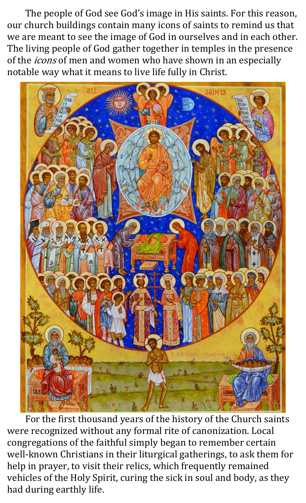The people of God see God's image in His saints. For this reason, our church buildings contain many icons of saints to remind us that we are meant to see the image of God in ourselves and in each other. The living people of God gather together in temples in the presence of the *icons* of men and women who have shown in an especially notable way what it means to live life fully in Christ.



For the first thousand years of the history of the Church saints were recognized without any formal rite of canonization. Local congregations of the faithful simply began to remember certain well-known Christians in their liturgical gatherings, to ask them for help in prayer, to visit their relics, which frequently remained vehicles of the Holy Spirit, curing the sick in soul and body, as they had during earthly life.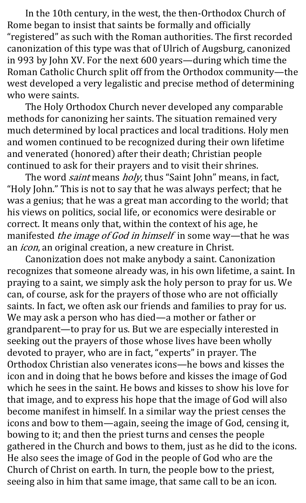In the 10th century, in the west, the then-Orthodox Church of Rome began to insist that saints be formally and officially "registered" as such with the Roman authorities. The first recorded canonization of this type was that of Ulrich of Augsburg, canonized in 993 by John XV. For the next 600 years—during which time the Roman Catholic Church split off from the Orthodox community—the west developed a very legalistic and precise method of determining who were saints.

The Holy Orthodox Church never developed any comparable methods for canonizing her saints. The situation remained very much determined by local practices and local traditions. Holy men and women continued to be recognized during their own lifetime and venerated (honored) after their death; Christian people continued to ask for their prayers and to visit their shrines.

The word *saint* means *holy*, thus "Saint John" means, in fact, "Holy John." This is not to say that he was always perfect; that he was a genius; that he was a great man according to the world; that his views on politics, social life, or economics were desirable or correct. It means only that, within the context of his age, he manifested *the image of God in himself* in some way—that he was an *icon*, an original creation, a new creature in Christ.

Canonization does not make anybody a saint. Canonization recognizes that someone already was, in his own lifetime, a saint. In praying to a saint, we simply ask the holy person to pray for us. We can, of course, ask for the prayers of those who are not officially saints. In fact, we often ask our friends and families to pray for us. We may ask a person who has died—a mother or father or grandparent—to pray for us. But we are especially interested in seeking out the prayers of those whose lives have been wholly devoted to prayer, who are in fact, "experts" in prayer. The Orthodox Christian also venerates icons—he bows and kisses the icon and in doing that he bows before and kisses the image of God which he sees in the saint. He bows and kisses to show his love for that image, and to express his hope that the image of God will also become manifest in himself. In a similar way the priest censes the icons and bow to them—again, seeing the image of God, censing it, bowing to it; and then the priest turns and censes the people gathered in the Church and bows to them, just as he did to the icons. He also sees the image of God in the people of God who are the Church of Christ on earth. In turn, the people bow to the priest, seeing also in him that same image, that same call to be an icon.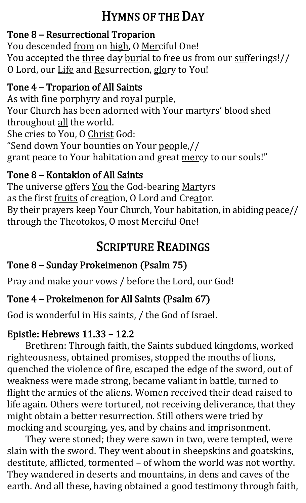### HYMNS OF THE DAY

#### Tone 8 – Resurrectional Troparion

You descended from on high, O Merciful One! You accepted the three day burial to free us from our sufferings!// O Lord, our Life and Resurrection, glory to You!

#### Tone 4 – Troparion of All Saints

As with fine porphyry and royal purple, Your Church has been adorned with Your martyrs' blood shed throughout all the world. She cries to You, O Christ God: "Send down Your bounties on Your people,// grant peace to Your habitation and great mercy to our souls!"

#### Tone 8 – Kontakion of All Saints

The universe offers You the God-bearing Martyrs as the first fruits of creation, O Lord and Creator. By their prayers keep Your Church, Your habitation, in abiding peace// through the Theotokos, O most Merciful One!

### SCRIPTURE READINGS

#### Tone 8 – Sunday Prokeimenon (Psalm 75)

Pray and make your vows / before the Lord, our God!

#### Tone 4 – Prokeimenon for All Saints (Psalm 67)

God is wonderful in His saints, / the God of Israel.

#### Epistle: Hebrews 11.33 – 12.2

Brethren: Through faith, the Saints subdued kingdoms, worked righteousness, obtained promises, stopped the mouths of lions, quenched the violence of fire, escaped the edge of the sword, out of weakness were made strong, became valiant in battle, turned to flight the armies of the aliens. Women received their dead raised to life again. Others were tortured, not receiving deliverance, that they might obtain a better resurrection. Still others were tried by mocking and scourging, yes, and by chains and imprisonment.

They were stoned; they were sawn in two, were tempted, were slain with the sword. They went about in sheepskins and goatskins, destitute, afflicted, tormented – of whom the world was not worthy. They wandered in deserts and mountains, in dens and caves of the earth. And all these, having obtained a good testimony through faith,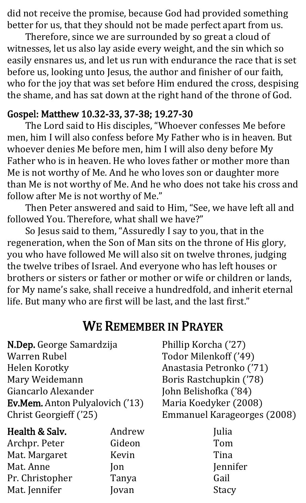did not receive the promise, because God had provided something better for us, that they should not be made perfect apart from us.

Therefore, since we are surrounded by so great a cloud of witnesses, let us also lay aside every weight, and the sin which so easily ensnares us, and let us run with endurance the race that is set before us, looking unto Jesus, the author and finisher of our faith, who for the joy that was set before Him endured the cross, despising the shame, and has sat down at the right hand of the throne of God.

#### Gospel: Matthew 10.32-33, 37-38; 19.27-30

The Lord said to His disciples, "Whoever confesses Me before men, him I will also confess before My Father who is in heaven. But whoever denies Me before men, him I will also deny before My Father who is in heaven. He who loves father or mother more than Me is not worthy of Me. And he who loves son or daughter more than Me is not worthy of Me. And he who does not take his cross and follow after Me is not worthy of Me."

Then Peter answered and said to Him, "See, we have left all and followed You. Therefore, what shall we have?"

So Jesus said to them, "Assuredly I say to you, that in the regeneration, when the Son of Man sits on the throne of His glory, you who have followed Me will also sit on twelve thrones, judging the twelve tribes of Israel. And everyone who has left houses or brothers or sisters or father or mother or wife or children or lands, for My name's sake, shall receive a hundredfold, and inherit eternal life. But many who are first will be last, and the last first."

#### WE REMEMBER IN PRAYER

N.Dep. George Samardzija Warren Rubel Helen Korotky Mary Weidemann Giancarlo Alexander Ev.Mem. Anton Pulyalovich ('13) Christ Georgieff ('25)

| Health & Salv.  | Andrew |
|-----------------|--------|
| Archpr. Peter   | Gideon |
| Mat. Margaret   | Kevin  |
| Mat. Anne       | Jon    |
| Pr. Christopher | Tanya  |
| Mat. Jennifer   | Jovan  |

Phillip Korcha ('27) Todor Milenkoff ('49) Anastasia Petronko ('71) Boris Rastchupkin ('78) John Belishofka ('84) Maria Koedyker (2008) Emmanuel Karageorges (2008)

> Julia Tom Tina Jennifer Gail **Stacy**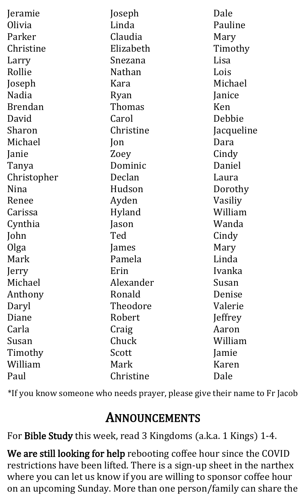| Jeramie        | Joseph        | Dale       |
|----------------|---------------|------------|
| Olivia         | Linda         | Pauline    |
| Parker         | Claudia       |            |
|                |               | Mary       |
| Christine      | Elizabeth     | Timothy    |
| Larry          | Snezana       | Lisa       |
| Rollie         | <b>Nathan</b> | Lois       |
| Joseph         | Kara          | Michael    |
| <b>Nadia</b>   | Ryan          | Janice     |
| <b>Brendan</b> | Thomas        | Ken        |
| David          | Carol         | Debbie     |
| Sharon         | Christine     | Jacqueline |
| Michael        | Jon           | Dara       |
| Janie          | Zoey          | Cindy      |
| Tanya          | Dominic       | Daniel     |
| Christopher    | Declan        | Laura      |
| Nina           | Hudson        | Dorothy    |
| Renee          | Ayden         | Vasiliy    |
| Carissa        | Hyland        | William    |
| Cynthia        | ason          | Wanda      |
| John           | Ted           | Cindy      |
| Olga           | James         | Mary       |
| Mark           | Pamela        | Linda      |
| Jerry          | Erin          | Ivanka     |
| Michael        | Alexander     | Susan      |
| Anthony        | Ronald        | Denise     |
| Daryl          | Theodore      | Valerie    |
| Diane          | Robert        | Jeffrey    |
| Carla          | Craig         | Aaron      |
| Susan          | Chuck         | William    |
| Timothy        | Scott         | Jamie      |
| William        | Mark          | Karen      |
| Paul           | Christine     | Dale       |

\*If you know someone who needs prayer, please give their name to Fr Jacob

### ANNOUNCEMENTS

For Bible Study this week, read 3 Kingdoms (a.k.a. 1 Kings) 1-4.

We are still looking for help rebooting coffee hour since the COVID restrictions have been lifted. There is a sign-up sheet in the narthex where you can let us know if you are willing to sponsor coffee hour on an upcoming Sunday. More than one person/family can share the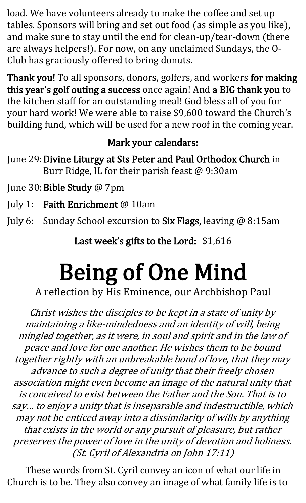load. We have volunteers already to make the coffee and set up tables. Sponsors will bring and set out food (as simple as you like), and make sure to stay until the end for clean-up/tear-down (there are always helpers!). For now, on any unclaimed Sundays, the O-Club has graciously offered to bring donuts.

Thank you! To all sponsors, donors, golfers, and workers for making this year's golf outing a success once again! And a BIG thank you to the kitchen staff for an outstanding meal! God bless all of you for your hard work! We were able to raise \$9,600 toward the Church's building fund, which will be used for a new roof in the coming year.

#### Mark your calendars:

- June 29:Divine Liturgy at Sts Peter and Paul Orthodox Church in Burr Ridge, IL for their parish feast @ 9:30am
- June 30: Bible Study @ 7pm
- July 1: Faith Enrichment @ 10am
- July 6: Sunday School excursion to Six Flags, leaving @ 8:15am

Last week's gifts to the Lord: \$1,616

# Being of One Mind

A reflection by His Eminence, our Archbishop Paul

Christ wishes the disciples to be kept in a state of unity by maintaining a like-mindedness and an identity of will, being mingled together, as it were, in soul and spirit and in the law of peace and love for one another. He wishes them to be bound together rightly with an unbreakable bond of love, that they may advance to such a degree of unity that their freely chosen association might even become an image of the natural unity that is conceived to exist between the Father and the Son. That is to say… to enjoy a unity that is inseparable and indestructible, which may not be enticed away into a dissimilarity of wills by anything that exists in the world or any pursuit of pleasure, but rather preserves the power of love in the unity of devotion and holiness. (St. Cyril of Alexandria on John 17:11)

These words from St. Cyril convey an icon of what our life in Church is to be. They also convey an image of what family life is to